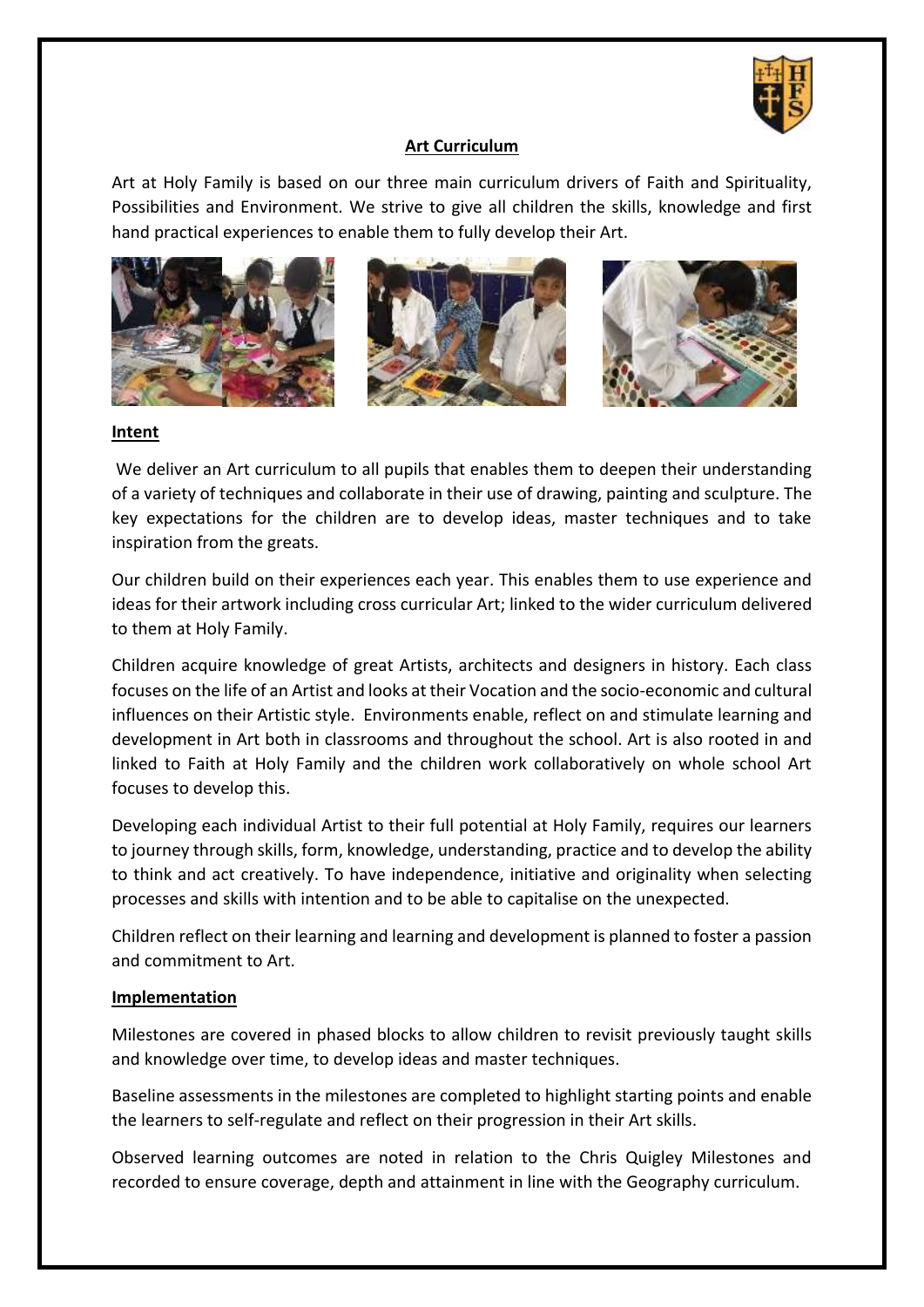

## **Art Curriculum**

Art at Holy Family is based on our three main curriculum drivers of Faith and Spirituality, Possibilities and Environment. We strive to give all children the skills, knowledge and first hand practical experiences to enable them to fully develop their Art.







## **Intent**

We deliver an Art curriculum to all pupils that enables them to deepen their understanding of a variety of techniques and collaborate in their use of drawing, painting and sculpture. The key expectations for the children are to develop ideas, master techniques and to take inspiration from the greats.

Our children build on their experiences each year. This enables them to use experience and ideas for their artwork including cross curricular Art; linked to the wider curriculum delivered to them at Holy Family.

Children acquire knowledge of great Artists, architects and designers in history. Each class focuses on the life of an Artist and looks at their Vocation and the socio-economic and cultural influences on their Artistic style. Environments enable, reflect on and stimulate learning and development in Art both in classrooms and throughout the school. Art is also rooted in and linked to Faith at Holy Family and the children work collaboratively on whole school Art focuses to develop this.

Developing each individual Artist to their full potential at Holy Family, requires our learners to journey through skills, form, knowledge, understanding, practice and to develop the ability to think and act creatively. To have independence, initiative and originality when selecting processes and skills with intention and to be able to capitalise on the unexpected.

Children reflect on their learning and learning and development is planned to foster a passion and commitment to Art.

## **Implementation**

Milestones are covered in phased blocks to allow children to revisit previously taught skills and knowledge over time, to develop ideas and master techniques.

Baseline assessments in the milestones are completed to highlight starting points and enable the learners to self-regulate and reflect on their progression in their Art skills.

Observed learning outcomes are noted in relation to the Chris Quigley Milestones and recorded to ensure coverage, depth and attainment in line with the Geography curriculum.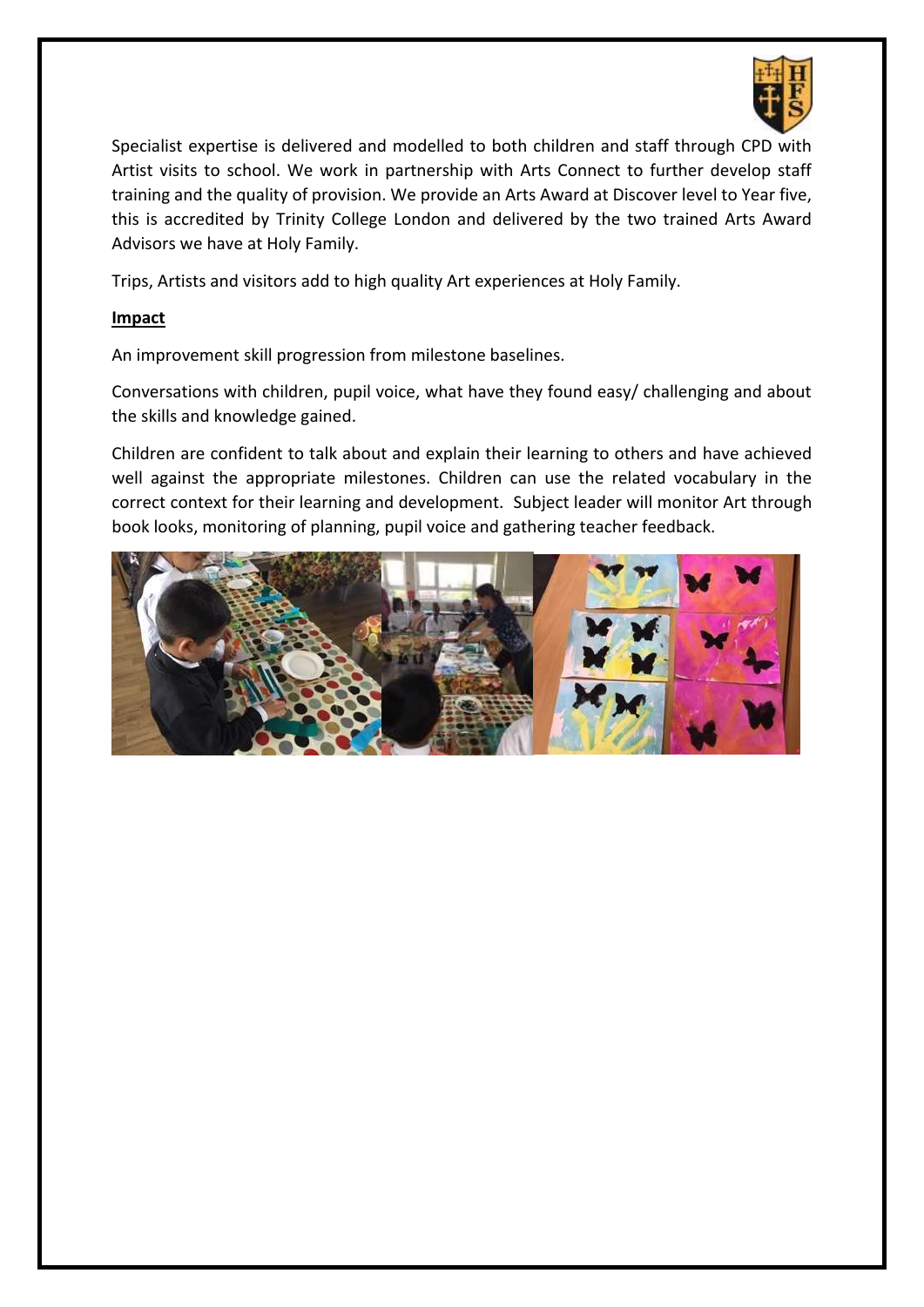

Specialist expertise is delivered and modelled to both children and staff through CPD with Artist visits to school. We work in partnership with Arts Connect to further develop staff training and the quality of provision. We provide an Arts Award at Discover level to Year five, this is accredited by Trinity College London and delivered by the two trained Arts Award Advisors we have at Holy Family.

Trips, Artists and visitors add to high quality Art experiences at Holy Family.

## **Impact**

An improvement skill progression from milestone baselines.

Conversations with children, pupil voice, what have they found easy/ challenging and about the skills and knowledge gained.

Children are confident to talk about and explain their learning to others and have achieved well against the appropriate milestones. Children can use the related vocabulary in the correct context for their learning and development. Subject leader will monitor Art through book looks, monitoring of planning, pupil voice and gathering teacher feedback.